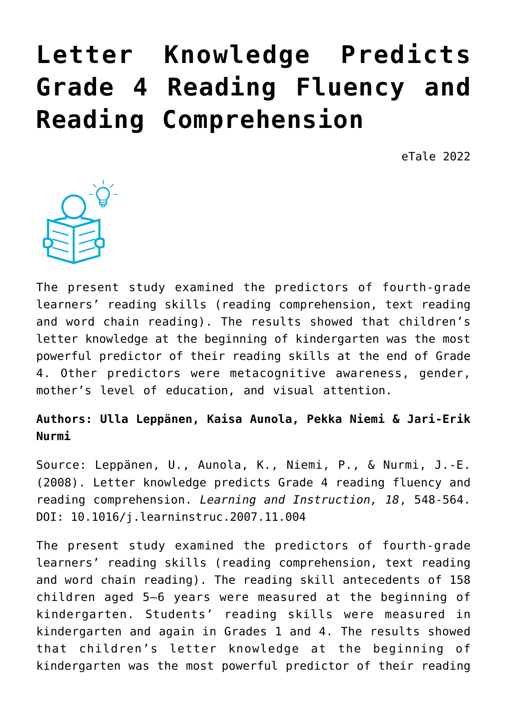# **[Letter Knowledge Predicts](https://dev.taleafrica.com/2021/04/20/letter-knowledge-predicts-grade-4-reading-fluency-and-reading-comprehension/) [Grade 4 Reading Fluency and](https://dev.taleafrica.com/2021/04/20/letter-knowledge-predicts-grade-4-reading-fluency-and-reading-comprehension/) [Reading Comprehension](https://dev.taleafrica.com/2021/04/20/letter-knowledge-predicts-grade-4-reading-fluency-and-reading-comprehension/)**

eTale 2022



The present study examined the predictors of fourth-grade learners' reading skills (reading comprehension, text reading and word chain reading). The results showed that children's letter knowledge at the beginning of kindergarten was the most powerful predictor of their reading skills at the end of Grade 4. Other predictors were metacognitive awareness, gender, mother's level of education, and visual attention.

# **Authors: Ulla Leppänen, Kaisa Aunola, Pekka Niemi & Jari-Erik Nurmi**

Source: Leppänen, U., Aunola, K., Niemi, P., & Nurmi, J.-E. (2008). Letter knowledge predicts Grade 4 reading fluency and reading comprehension. *Learning and Instruction, 18*, 548-564. DOI: 10.1016/j.learninstruc.2007.11.004

The present study examined the predictors of fourth-grade learners' reading skills (reading comprehension, text reading and word chain reading). The reading skill antecedents of 158 children aged 5–6 years were measured at the beginning of kindergarten. Students' reading skills were measured in kindergarten and again in Grades 1 and 4. The results showed that children's letter knowledge at the beginning of kindergarten was the most powerful predictor of their reading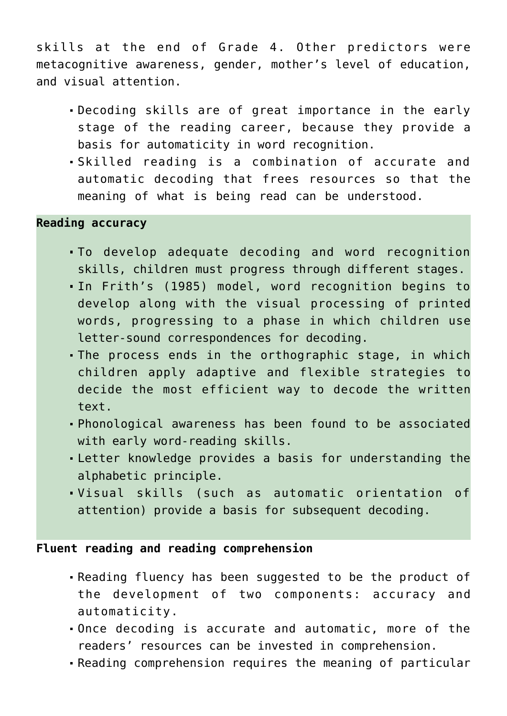skills at the end of Grade 4. Other predictors were metacognitive awareness, gender, mother's level of education, and visual attention.

- Decoding skills are of great importance in the early stage of the reading career, because they provide a basis for automaticity in word recognition.
- Skilled reading is a combination of accurate and automatic decoding that frees resources so that the meaning of what is being read can be understood.

#### **Reading accuracy**

- To develop adequate decoding and word recognition skills, children must progress through different stages.
- In Frith's (1985) model, word recognition begins to develop along with the visual processing of printed words, progressing to a phase in which children use letter-sound correspondences for decoding.
- The process ends in the orthographic stage, in which children apply adaptive and flexible strategies to decide the most efficient way to decode the written text.
- Phonological awareness has been found to be associated with early word-reading skills.
- Letter knowledge provides a basis for understanding the alphabetic principle.
- Visual skills (such as automatic orientation of attention) provide a basis for subsequent decoding.

#### **Fluent reading and reading comprehension**

- Reading fluency has been suggested to be the product of the development of two components: accuracy and automaticity.
- Once decoding is accurate and automatic, more of the readers' resources can be invested in comprehension.
- Reading comprehension requires the meaning of particular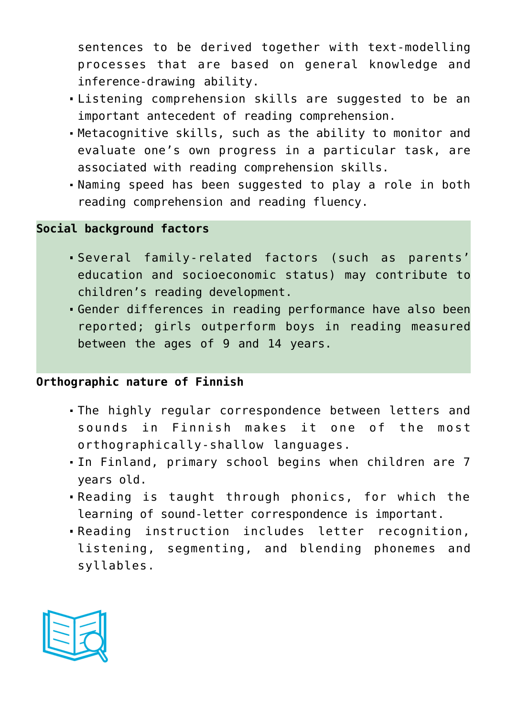sentences to be derived together with text-modelling processes that are based on general knowledge and inference-drawing ability.

- Listening comprehension skills are suggested to be an important antecedent of reading comprehension.
- Metacognitive skills, such as the ability to monitor and evaluate one's own progress in a particular task, are associated with reading comprehension skills.
- Naming speed has been suggested to play a role in both reading comprehension and reading fluency.

#### **Social background factors**

- Several family-related factors (such as parents' education and socioeconomic status) may contribute to children's reading development.
- Gender differences in reading performance have also been reported; girls outperform boys in reading measured between the ages of 9 and 14 years.

# **Orthographic nature of Finnish**

- The highly regular correspondence between letters and sounds in Finnish makes it one of the most orthographically-shallow languages.
- In Finland, primary school begins when children are 7 years old.
- Reading is taught through phonics, for which the learning of sound-letter correspondence is important.
- Reading instruction includes letter recognition, listening, segmenting, and blending phonemes and syllables.

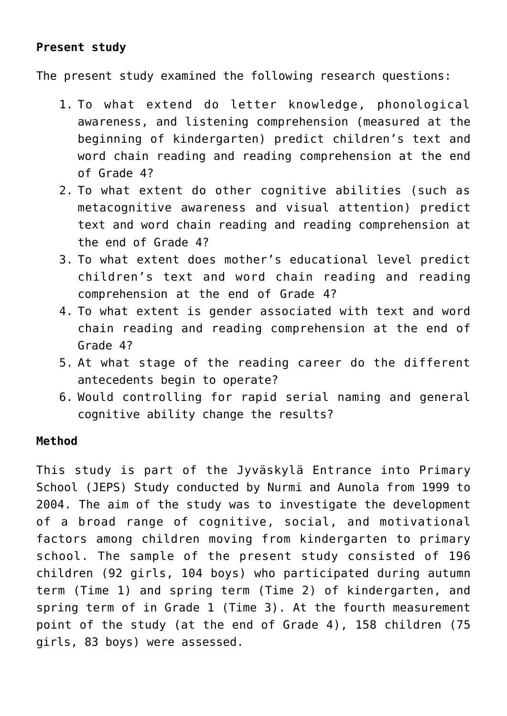# **Present study**

The present study examined the following research questions:

- 1. To what extend do letter knowledge, phonological awareness, and listening comprehension (measured at the beginning of kindergarten) predict children's text and word chain reading and reading comprehension at the end of Grade 4?
- 2. To what extent do other cognitive abilities (such as metacognitive awareness and visual attention) predict text and word chain reading and reading comprehension at the end of Grade 4?
- 3. To what extent does mother's educational level predict children's text and word chain reading and reading comprehension at the end of Grade 4?
- 4. To what extent is gender associated with text and word chain reading and reading comprehension at the end of Grade 4?
- 5. At what stage of the reading career do the different antecedents begin to operate?
- 6. Would controlling for rapid serial naming and general cognitive ability change the results?

# **Method**

This study is part of the Jyväskylä Entrance into Primary School (JEPS) Study conducted by Nurmi and Aunola from 1999 to 2004. The aim of the study was to investigate the development of a broad range of cognitive, social, and motivational factors among children moving from kindergarten to primary school. The sample of the present study consisted of 196 children (92 girls, 104 boys) who participated during autumn term (Time 1) and spring term (Time 2) of kindergarten, and spring term of in Grade 1 (Time 3). At the fourth measurement point of the study (at the end of Grade 4), 158 children (75 girls, 83 boys) were assessed.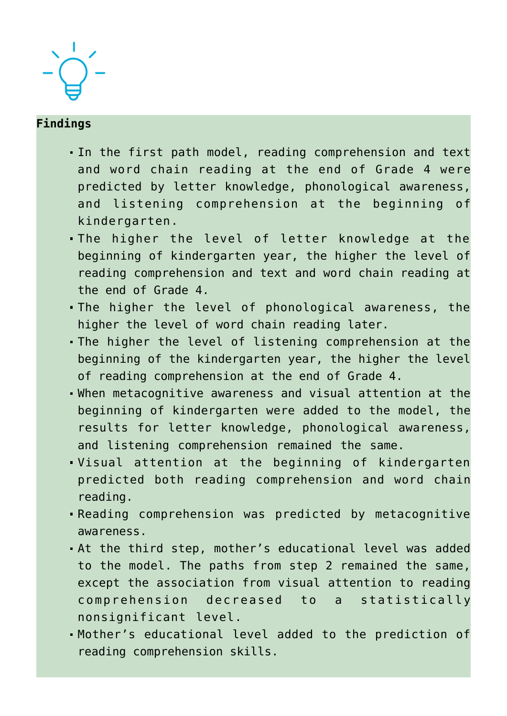

#### **Findings**

- In the first path model, reading comprehension and text and word chain reading at the end of Grade 4 were predicted by letter knowledge, phonological awareness, and listening comprehension at the beginning of kindergarten.
- The higher the level of letter knowledge at the beginning of kindergarten year, the higher the level of reading comprehension and text and word chain reading at the end of Grade 4.
- The higher the level of phonological awareness, the higher the level of word chain reading later.
- The higher the level of listening comprehension at the beginning of the kindergarten year, the higher the level of reading comprehension at the end of Grade 4.
- When metacognitive awareness and visual attention at the beginning of kindergarten were added to the model, the results for letter knowledge, phonological awareness, and listening comprehension remained the same.
- Visual attention at the beginning of kindergarten predicted both reading comprehension and word chain reading.
- Reading comprehension was predicted by metacognitive awareness.
- At the third step, mother's educational level was added to the model. The paths from step 2 remained the same, except the association from visual attention to reading comprehension decreased to a statistically nonsignificant level.
- Mother's educational level added to the prediction of reading comprehension skills.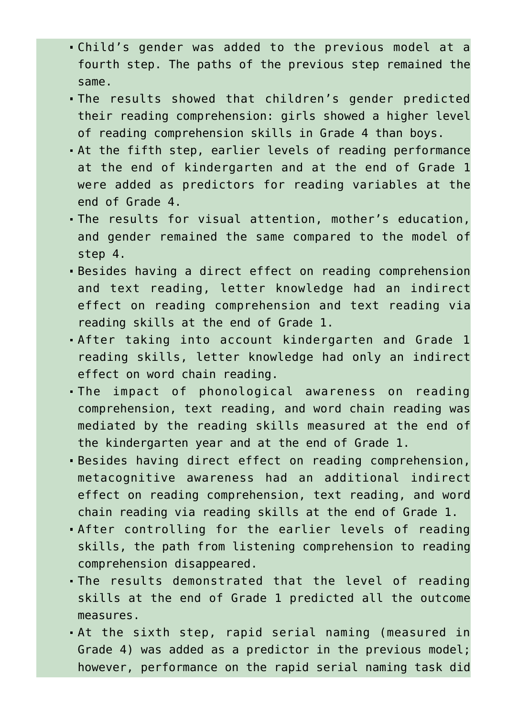- Child's gender was added to the previous model at a fourth step. The paths of the previous step remained the same.
- The results showed that children's gender predicted their reading comprehension: girls showed a higher level of reading comprehension skills in Grade 4 than boys.
- At the fifth step, earlier levels of reading performance at the end of kindergarten and at the end of Grade 1 were added as predictors for reading variables at the end of Grade 4.
- The results for visual attention, mother's education, and gender remained the same compared to the model of step 4.
- Besides having a direct effect on reading comprehension and text reading, letter knowledge had an indirect effect on reading comprehension and text reading via reading skills at the end of Grade 1.
- After taking into account kindergarten and Grade 1 reading skills, letter knowledge had only an indirect effect on word chain reading.
- The impact of phonological awareness on reading comprehension, text reading, and word chain reading was mediated by the reading skills measured at the end of the kindergarten year and at the end of Grade 1.
- Besides having direct effect on reading comprehension, metacognitive awareness had an additional indirect effect on reading comprehension, text reading, and word chain reading via reading skills at the end of Grade 1.
- After controlling for the earlier levels of reading skills, the path from listening comprehension to reading comprehension disappeared.
- The results demonstrated that the level of reading skills at the end of Grade 1 predicted all the outcome measures.
- At the sixth step, rapid serial naming (measured in Grade 4) was added as a predictor in the previous model; however, performance on the rapid serial naming task did